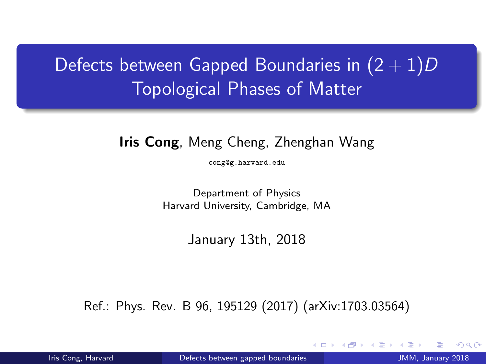# Defects between Gapped Boundaries in  $(2 + 1)D$ Topological Phases of Matter

#### Iris Cong, Meng Cheng, Zhenghan Wang

<cong@g.harvard.edu>

Department of Physics Harvard University, Cambridge, MA

January 13th, 2018

Ref.: Phys. Rev. B 96, 195129 (2017) (arXiv:1703.03564)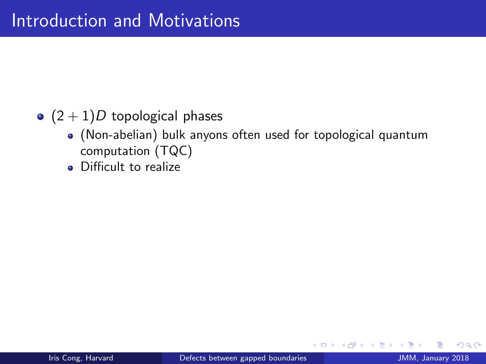## $\bullet$  (2 + 1)D topological phases

- (Non-abelian) bulk anyons often used for topological quantum computation (TQC)
- Difficult to realize

4 0 8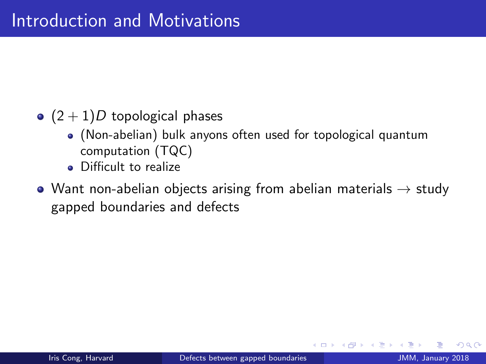## $\bullet$   $(2+1)D$  topological phases

- (Non-abelian) bulk anyons often used for topological quantum computation (TQC)
- Difficult to realize
- Want non-abelian objects arising from abelian materials  $\rightarrow$  study gapped boundaries and defects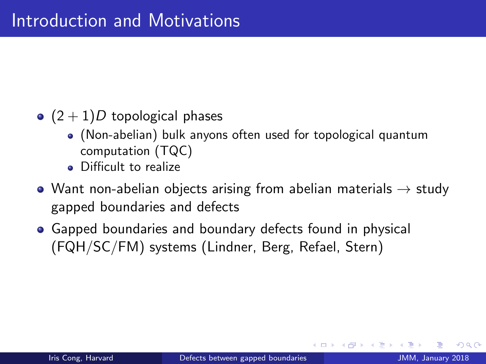- $\bullet$   $(2+1)D$  topological phases
	- (Non-abelian) bulk anyons often used for topological quantum computation (TQC)
	- Difficult to realize
- Want non-abelian objects arising from abelian materials  $\rightarrow$  study gapped boundaries and defects
- Gapped boundaries and boundary defects found in physical (FQH/SC/FM) systems (Lindner, Berg, Refael, Stern)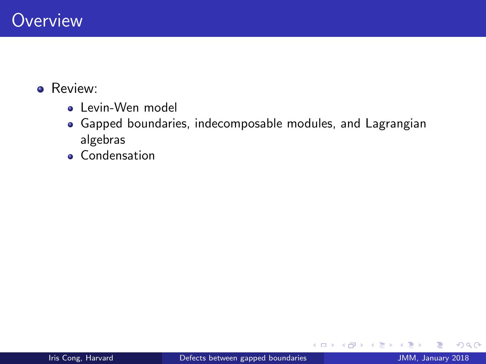#### **•** Review:

- **•** Levin-Wen model
- Gapped boundaries, indecomposable modules, and Lagrangian algebras
- **e** Condensation

4 日下

 $\rightarrow$ Э×  $299$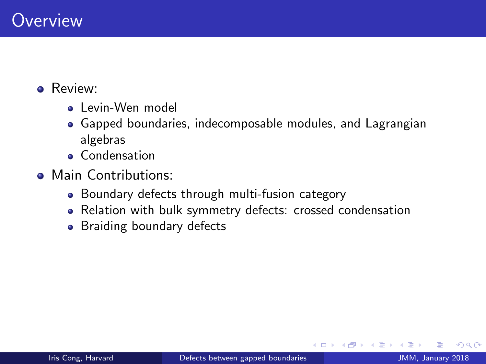#### **A** Review:

- Levin-Wen model
- Gapped boundaries, indecomposable modules, and Lagrangian algebras
- **e** Condensation
- Main Contributions:
	- Boundary defects through multi-fusion category
	- Relation with bulk symmetry defects: crossed condensation
	- Braiding boundary defects

**∢ ⊡**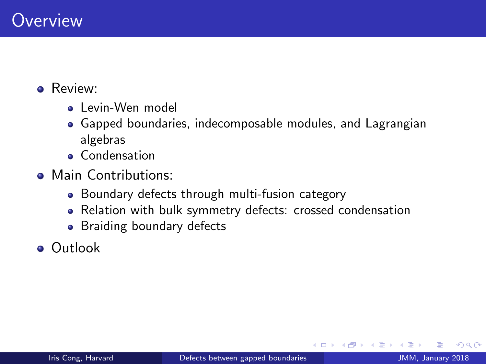#### **A** Review:

- Levin-Wen model
- Gapped boundaries, indecomposable modules, and Lagrangian algebras
- **e** Condensation
- Main Contributions:
	- Boundary defects through multi-fusion category
	- Relation with bulk symmetry defects: crossed condensation
	- Braiding boundary defects
- Outlook

 $\leftarrow$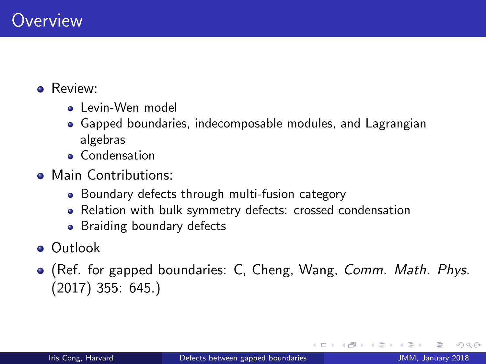#### **A** Review:

- **a** Levin-Wen model
- Gapped boundaries, indecomposable modules, and Lagrangian algebras
- **e** Condensation
- Main Contributions:
	- Boundary defects through multi-fusion category
	- Relation with bulk symmetry defects: crossed condensation
	- Braiding boundary defects
- Outlook
- (Ref. for gapped boundaries: C, Cheng, Wang, *Comm. Math. Phys.* (2017) 355: 645.)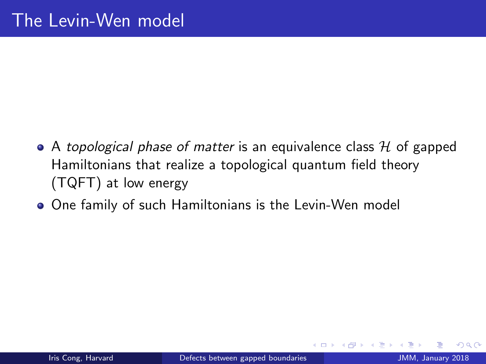- A topological phase of matter is an equivalence class  $H$  of gapped Hamiltonians that realize a topological quantum field theory (TQFT) at low energy
- One family of such Hamiltonians is the Levin-Wen model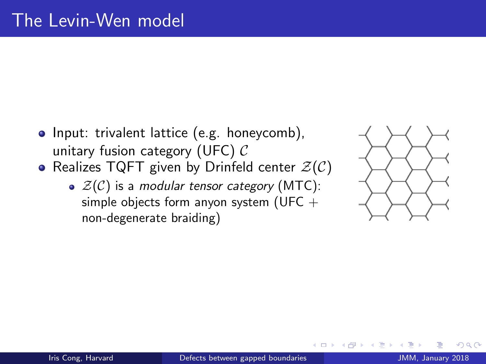- Input: trivalent lattice (e.g. honeycomb), unitary fusion category (UFC)  $\mathcal{C}$
- Realizes TQFT given by Drinfeld center  $\mathcal{Z}(\mathcal{C})$ 
	- $\bullet$   $\mathcal{Z}(\mathcal{C})$  is a modular tensor category (MTC): simple objects form anyon system (UFC  $+$ non-degenerate braiding)

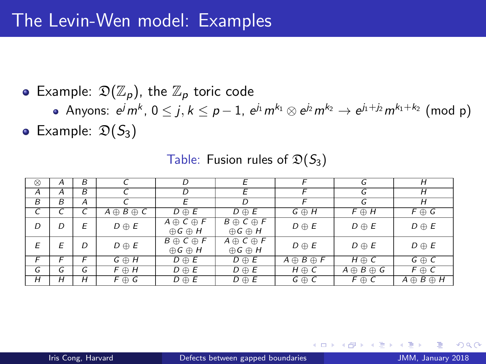• Example:  $\mathfrak{D}(\mathbb{Z}_p)$ , the  $\mathbb{Z}_p$  toric code

Anyons:  $e^j m^k$ ,  $0\leq j,k\leq p-1$ ,  $e^{j_1}m^{k_1}\otimes e^{j_2}m^{k_2}\rightarrow e^{j_1+j_2}m^{k_1+k_2}$  (mod p)

• Example:  $\mathfrak{D}(S_3)$ 

| $^{\circ}$     | A | B              |                       | D                                            | Е                                              | F                     | G                     | Н                     |
|----------------|---|----------------|-----------------------|----------------------------------------------|------------------------------------------------|-----------------------|-----------------------|-----------------------|
| $\overline{A}$ | А | $\overline{B}$ |                       | D                                            | E                                              | F                     | G                     | $\overline{H}$        |
| B              | B | A              |                       | E                                            | D                                              |                       | G                     | H                     |
| C              | C | C              | $A \oplus B \oplus C$ | $D \oplus E$                                 | $D \oplus E$                                   | $G \oplus H$          | $F \oplus H$          | $F \oplus G$          |
| D              | D | E              | $D \oplus E$          | $A \oplus C \oplus F$<br>$\oplus G \oplus H$ | $B \oplus C \oplus F$<br>$\oplus$ G $\oplus$ H | $D \oplus E$          | $D \oplus E$          | $D \oplus E$          |
| Е              | E | D              | $D \oplus E$          | $B \oplus C \oplus F$<br>$\oplus G \oplus H$ | $A \oplus C \oplus F$<br>$\oplus$ G $\oplus$ H | $D \oplus E$          | $D \oplus E$          | $D \oplus E$          |
| F              | F | F              | $G \oplus H$          | $D \oplus E$                                 | $D \oplus E$                                   | $A \oplus B \oplus F$ | $H \oplus C$          | $G \oplus C$          |
| G              | G | G              | $F \oplus H$          | $D \oplus E$                                 | $D \oplus E$                                   | $H \oplus C$          | $A \oplus B \oplus G$ | $F \oplus C$          |
| H              | Н | Н              | $F \oplus G$          | $D \oplus E$                                 | $D \oplus E$                                   | $G \oplus C$          | $F \oplus C$          | $A \oplus B \oplus H$ |

Table: Fusion rules of  $\mathfrak{D}(S_3)$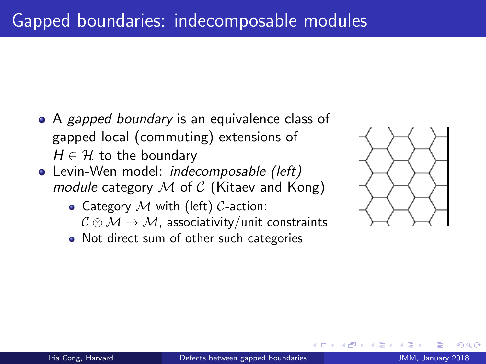- A gapped boundary is an equivalence class of gapped local (commuting) extensions of  $H \in \mathcal{H}$  to the boundary
- Levin-Wen model: *indecomposable (left)* module category  $M$  of  $C$  (Kitaev and Kong)
	- Category  $M$  with (left)  $C$ -action:  $C \otimes M \rightarrow M$ , associativity/unit constraints
	- Not direct sum of other such categories

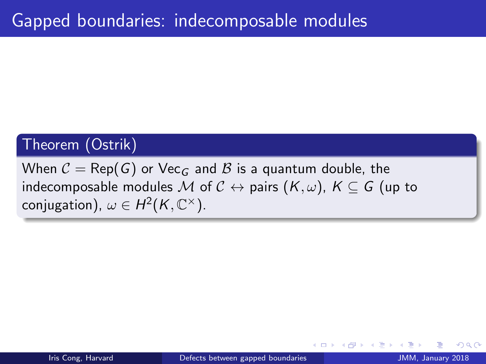## Theorem (Ostrik)

When  $C = \text{Rep}(G)$  or Vec<sub>G</sub> and B is a quantum double, the indecomposable modules M of  $C \leftrightarrow$  pairs  $(K, \omega)$ ,  $K \subseteq G$  (up to conjugation),  $\omega \in H^2(K,\mathbb C^\times).$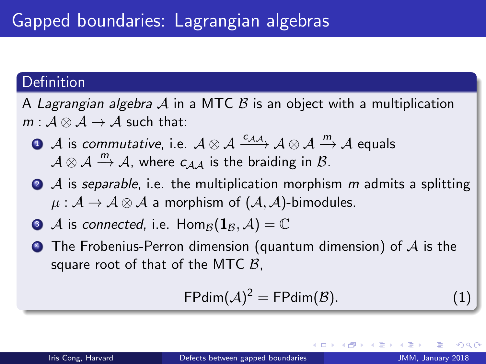## **Definition**

- A Lagrangian algebra A in a MTC B is an object with a multiplication  $m : \mathcal{A} \otimes \mathcal{A} \rightarrow \mathcal{A}$  such that:
	- $\bullet$  A is commutative, i.e.  $A \otimes A \xrightarrow{c_{AA}} A \otimes A \xrightarrow{m} A$  equals  $A \otimes A \stackrel{m}{\rightarrow} A$ , where  $C_{AA}$  is the braiding in  $B$ .
	- $\bullet$  A is separable, i.e. the multiplication morphism m admits a splitting  $\mu : \mathcal{A} \to \mathcal{A} \otimes \mathcal{A}$  a morphism of  $(\mathcal{A}, \mathcal{A})$ -bimodules.
	- $\bullet$  A is connected, i.e. Hom<sub>B</sub> $(1_B, A) = \mathbb{C}$
	- $\bullet$  The Frobenius-Perron dimension (quantum dimension) of A is the square root of that of the MTC  $B$ .

$$
\mathsf{FPdim}(\mathcal{A})^2 = \mathsf{FPdim}(\mathcal{B}).\tag{1}
$$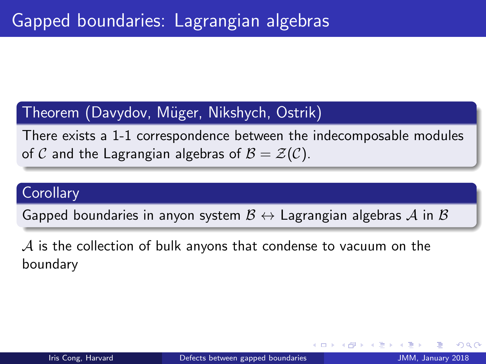## Theorem (Davydov, Müger, Nikshych, Ostrik)

There exists a 1-1 correspondence between the indecomposable modules of C and the Lagrangian algebras of  $B = \mathcal{Z}(C)$ .

#### **Corollary**

Gapped boundaries in anyon system  $\mathcal{B} \leftrightarrow$  Lagrangian algebras A in  $\mathcal{B}$ 

 $\mathcal A$  is the collection of bulk anyons that condense to vacuum on the boundary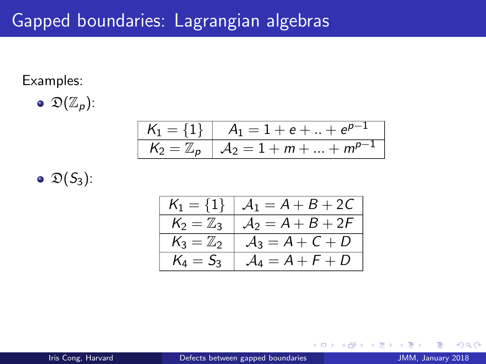#### <span id="page-15-0"></span>Examples:

$$
\bullet \ \mathfrak{D}(\mathbb{Z}_p)
$$

$$
\begin{array}{|c|c|c|c|} \hline K_1=\{1\} & A_1=1+e+...+e^{p-1} \\ \hline K_2=\mathbb{Z}_p & A_2=1+m+...+m^{p-1} \\\hline \end{array}
$$

$$
\bullet \mathfrak{D}(S_3)
$$

| $K_1 = \{1\}$        | $A_1 = A + B + 2C$ |
|----------------------|--------------------|
| $K_2 = \mathbb{Z}_3$ | $A_2 = A + B + 2F$ |
| $K_3 = \mathbb{Z}_2$ | $A_3 = A + C + D$  |
| $K_4 = S_3$          | $A_4 = A + F + D$  |

4.0.3 a.  $\sim$ 

 $299$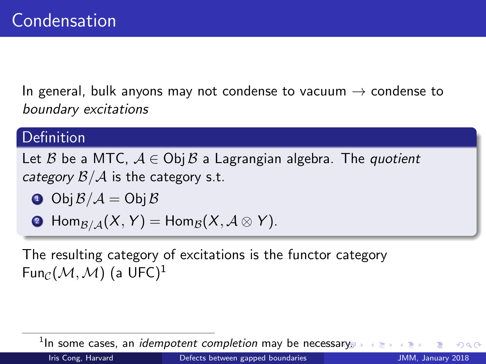<span id="page-16-0"></span>In general, bulk anyons may not condense to vacuum  $\rightarrow$  condense to boundary excitations

## Definition

Let B be a MTC,  $A \in Ob$  B a Lagrangian algebra. The quotient category  $\mathcal{B}/\mathcal{A}$  is the category s.t.

 $\bullet$  Obj  $\mathcal{B}/\mathcal{A} =$  Obj  $\mathcal{B}$ 

• 
$$
\operatorname{Hom}_{\mathcal{B}/\mathcal{A}}(X, Y) = \operatorname{Hom}_{\mathcal{B}}(X, \mathcal{A} \otimes Y).
$$

The resulting category of excitations is the functor category Fun $_{\mathcal{C}}(\mathcal{M},\mathcal{M})$  (a UFC)<sup>1</sup>

 $^1$ In some cases, an *idempotent completion* may be n[ec](#page-15-0)e[ssa](#page-17-0)[r](#page-15-0)[y.](#page-16-0)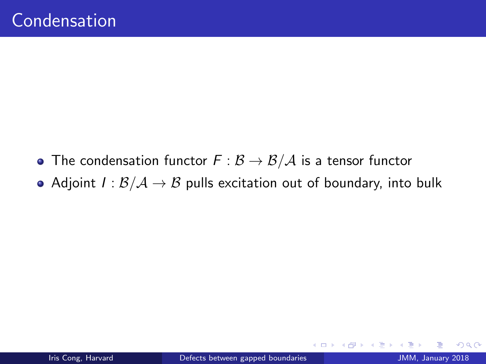- <span id="page-17-0"></span>• The condensation functor  $F : \mathcal{B} \to \mathcal{B}/\mathcal{A}$  is a tensor functor
- Adjoint  $I : B/A \rightarrow B$  pulls excitation out of boundary, into bulk

4 0 8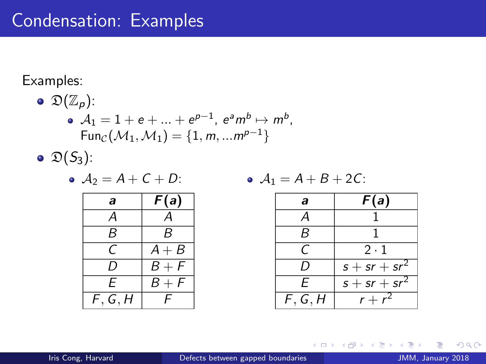# Condensation: Examples

#### Examples:

• 
$$
\mathfrak{D}(\mathbb{Z}_p)
$$
:  
\n•  $A_1 = 1 + e + ... + e^{p-1}, e^a m^b \mapsto m^b$ ,  
\n
$$
Fun_{\mathcal{C}}(\mathcal{M}_1, \mathcal{M}_1) = \{1, m, ... m^{p-1}\}
$$
  
\n•  $\mathfrak{D}(S_3)$ :

$$
\bullet \ \mathcal{A}_2 = A + C + D:
$$

$$
\bullet \ \mathcal{A}_1 = A + B + 2C:
$$

| a     | F(a)    |
|-------|---------|
| А     |         |
| R     | R       |
| C     | $A + B$ |
| I)    | $B + F$ |
| F     | $B + F$ |
| F,G,H | L       |

| a       | F(a)            |
|---------|-----------------|
| A       | 1               |
| B       | 1               |
| C       | 2·1             |
| D       | $s + sr + sr^2$ |
| E       | $s + sr + sr^2$ |
| F, G, H | $r + r^2$       |

4 0 8 - 4 n⊡  $\rightarrow$ э  $\rightarrow$   $299$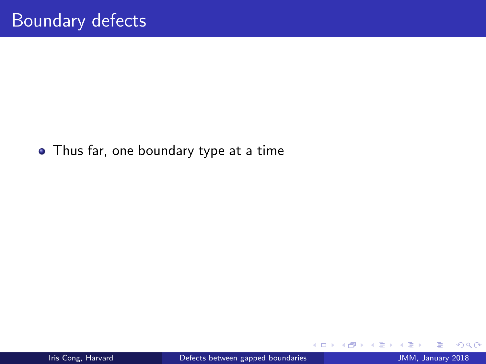#### • Thus far, one boundary type at a time

4 日下

 $299$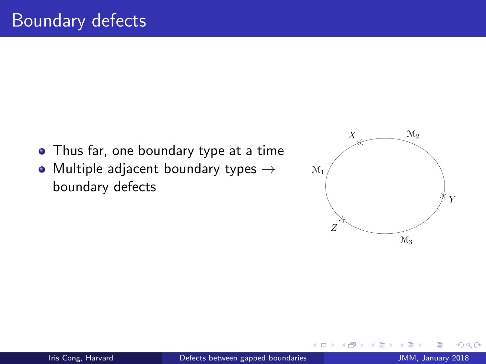- Thus far, one boundary type at a time
- Multiple adjacent boundary types  $\rightarrow$ boundary defects



 $\leftarrow$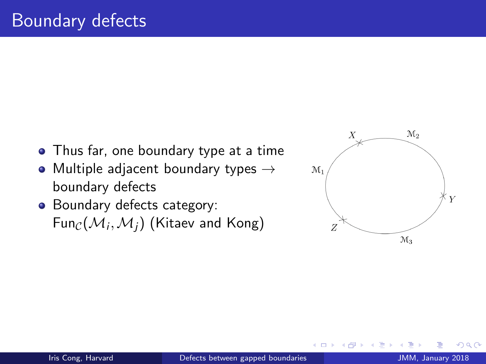- Thus far, one boundary type at a time
- Multiple adjacent boundary types  $\rightarrow$ boundary defects
- Boundary defects category: Fun $_{\mathcal{C}}(\mathcal{M}_i,\mathcal{M}_j)$  (Kitaev and Kong)

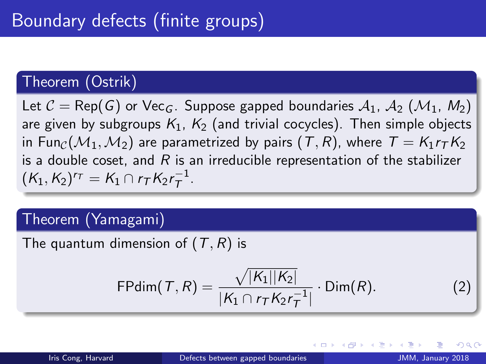## Theorem (Ostrik)

Let  $C = \text{Rep}(G)$  or Vec<sub>G</sub>. Suppose gapped boundaries  $A_1$ ,  $A_2$  ( $M_1$ ,  $M_2$ ) are given by subgroups  $K_1$ ,  $K_2$  (and trivial cocycles). Then simple objects in Fun<sub>C</sub>( $M_1, M_2$ ) are parametrized by pairs (T, R), where  $T = K_1 r_T K_2$ is a double coset, and  $R$  is an irreducible representation of the stabilizer  $(K_1, K_2)^{r_T} = K_1 \cap r_T K_2 r_T^{-1}$  $\overline{\tau}^{\perp}$ .

### Theorem (Yamagami)

The quantum dimension of  $(T, R)$  is

FPdim
$$
(T, R)
$$
 =  $\frac{\sqrt{|K_1||K_2|}}{|K_1 \cap r_T K_2 r_T^{-1}|}$   $\cdot$  Dim $(R)$ . (2)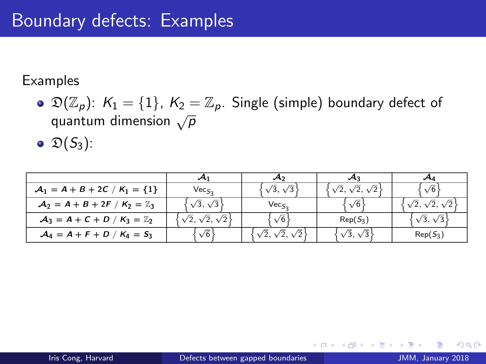#### Examples

 $\odot$   $\mathfrak{D}(\mathbb{Z}_p)$ :  $K_1 = \{1\}$ ,  $K_2 = \mathbb{Z}_p$ . Single (simple) boundary defect of  $\sim$  (2p).  $\cdot$  1 = (1),  $\cdot$  2 =  $\alpha$ 

$$
\bullet \ \mathfrak{D}(S_3)
$$

| $A_1 = A + B + 2C / K_1 = \{1\}$        | $Vec_{S_2}$                    | $\sqrt{3}, \sqrt{3}$           | $\sqrt{2}, \sqrt{2}, \sqrt{2}$ | $\sqrt{6}$                     |
|-----------------------------------------|--------------------------------|--------------------------------|--------------------------------|--------------------------------|
| $A_2 = A + B + 2F / K_2 = \mathbb{Z}_3$ | $\sqrt{3}, \sqrt{3}$           | Vec <sub>S</sub>               | $\sqrt{6}$                     | $\sqrt{2}, \sqrt{2}, \sqrt{2}$ |
| $A_3 = A + C + D / K_3 = \mathbb{Z}_2$  | $\sqrt{2}, \sqrt{2}, \sqrt{2}$ | $\sqrt{6}$                     | $Rep(S_3)$                     | $\sqrt{3}, \sqrt{3}$           |
| $A_4 = A + F + D / K_4 = S_3$           | $\sqrt{6}$                     | $\sqrt{2}, \sqrt{2}, \sqrt{2}$ | $\sqrt{3}, \sqrt{3}$           | $Rep(S_3)$                     |

4 0 8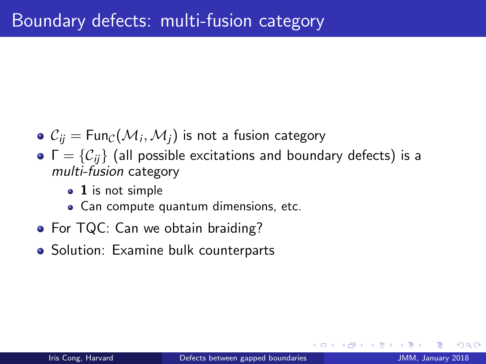- $\mathcal{C}_{ij}=\mathsf{Fun}_{\mathcal{C}}(\mathcal{M}_i,\mathcal{M}_j)$  is not a fusion category
- $\bullet \Gamma = \{C_{ii}\}\$  (all possible excitations and boundary defects) is a multi-fusion category
	- 1 is not simple
	- Can compute quantum dimensions, etc.
- For TQC: Can we obtain braiding?
- Solution: Examine bulk counterparts

つひひ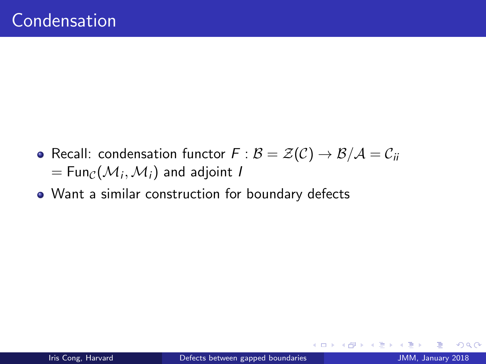- Recall: condensation functor  $F : B = \mathcal{Z}(C) \to B/A = C_{ii}$  $= \mathsf{Fun}_{\mathcal{C}}(\mathcal{M}_i,\mathcal{M}_i)$  and adjoint I
- Want a similar construction for boundary defects

4 0 8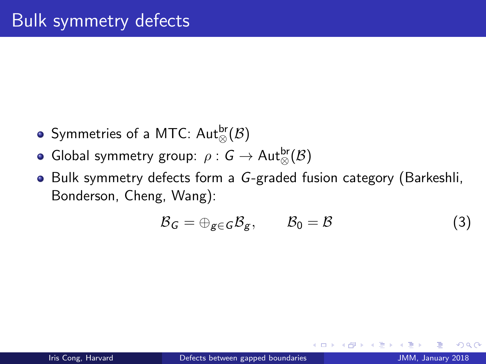- Symmetries of a MTC:  $\mathsf{Aut}^{\mathsf{br}}_\otimes(\mathcal{B})$
- Global symmetry group:  $\rho: \mathsf{G} \to \mathsf{Aut}^{\mathsf{br}}_{\otimes}(\mathcal{B})$
- Bulk symmetry defects form a G-graded fusion category (Barkeshli, Bonderson, Cheng, Wang):

$$
\mathcal{B}_G = \bigoplus_{g \in G} \mathcal{B}_g, \qquad \mathcal{B}_0 = \mathcal{B} \tag{3}
$$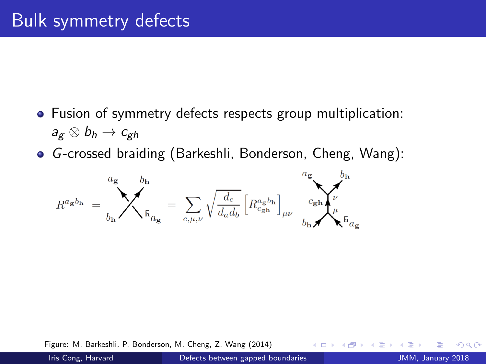- Fusion of symmetry defects respects group multiplication:  $a_{g} \otimes b_{h} \rightarrow c_{gh}$
- G-crossed braiding (Barkeshli, Bonderson, Cheng, Wang):

$$
R^{a_{\bf g}b_{\bf h}}\ =\ \sum_{b_{\bf h}}^{a_{\bf g}}\ \sum_{\bar{\bf h}}^{b_{\bf h}}_{a_{\bf g}}\ =\ \sum_{c,\mu,\nu}\sqrt{\frac{d_c}{d_a d_b}}\, \Big[R^{a_{\bf g}b_{\bf h}}_{c_{\bf gh}}\Big]_{\mu\nu}\ \sum_{b_{\bf h}}^{a_{\bf g}}\ \sum_{\mu}^{b_{\bf h}}_{\bar{\bf h}}\ \sum_{a_{\bf g}}
$$

Figure: M. Barkeshli, P. Bonderson, M. Cheng, Z. Wang (2014)

4 **D** F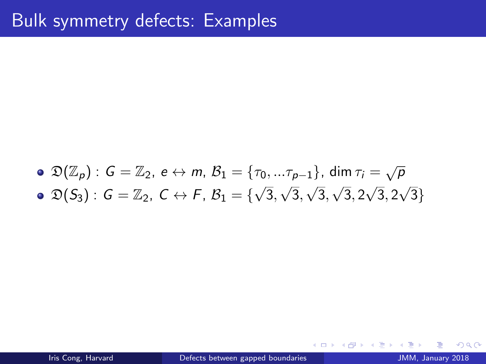#### $\mathfrak{D}(\mathbb{Z}_p)$  :  $G=\mathbb{Z}_2$ ,  $e\leftrightarrow m$ ,  $\mathcal{B}_1=\{\tau_0,...\tau_{p-1}\}$ , dim  $\tau_i=\sqrt{p}$  $\mathfrak{D}(S_3) : G = \mathbb{Z}_2, C \leftrightarrow F, B_1 = \{ \sqrt{\mathbb{Z}_3} \}$ 3, √ 3, ر ⊥<br>⁄ 3, √ 3, 2 √ 3, 2 √ 3}

4 0 8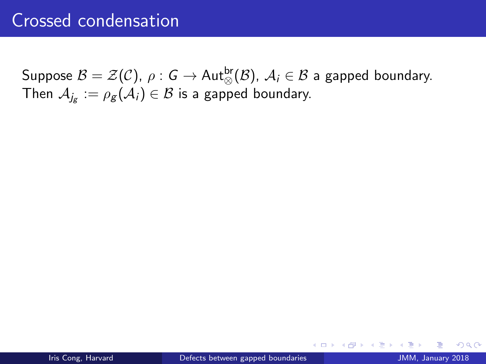Suppose  ${\mathcal B}={\mathcal Z}({\mathcal C}),\ \rho:{\mathsf G}\to{\sf Aut}^{\sf br}_{\otimes}({\mathcal B}),\ {\mathcal A}_i\in {\mathcal B}$  a gapped boundary. Then  $\mathcal{A}_{j_{\mathcal{S}}}:=\rho_{\mathcal{S}}(\mathcal{A}_{i})\in\mathcal{B}$  is a gapped boundary.

4 0 8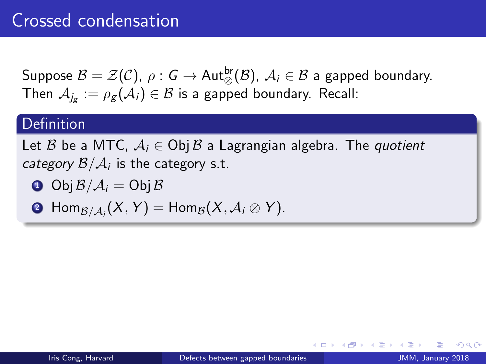Suppose  ${\mathcal B}={\mathcal Z}({\mathcal C}),\ \rho:{\mathsf G}\to{\sf Aut}^{\sf br}_{\otimes}({\mathcal B}),\ {\mathcal A}_i\in {\mathcal B}$  a gapped boundary. Then  $\mathcal{A}_{j_{\mathcal{B}}}:=\rho_{\mathcal{B}}(\mathcal{A}_{i})\in\mathcal{B}$  is a gapped boundary. Recall:

#### **Definition**

Let B be a MTC,  $A_i \in \text{Obj } B$  a Lagrangian algebra. The quotient *category*  $\mathcal{B}/\mathcal{A}_i$  *is the category s.t.* 

$$
\bullet \ \text{Obj}\, \mathcal{B}/\mathcal{A}_i = \text{Obj}\, \mathcal{B}
$$

$$
\bullet \; \mathrm{Hom}_{\mathcal{B}/\mathcal{A}_i}(X,Y)=\mathrm{Hom}_{\mathcal{B}}(X,\mathcal{A}_i\otimes Y).
$$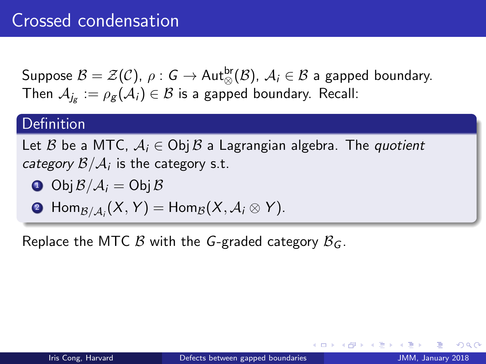Suppose  ${\mathcal B}={\mathcal Z}({\mathcal C}),\ \rho:{\mathsf G}\to{\sf Aut}^{\sf br}_{\otimes}({\mathcal B}),\ {\mathcal A}_i\in {\mathcal B}$  a gapped boundary. Then  $\mathcal{A}_{j_{\mathcal{B}}}:=\rho_{\mathcal{B}}(\mathcal{A}_{i})\in\mathcal{B}$  is a gapped boundary. Recall:

#### **Definition**

Let B be a MTC,  $A_i \in \text{Obj } B$  a Lagrangian algebra. The quotient *category*  $\mathcal{B}/\mathcal{A}_i$  *is the category s.t.* 

 $\bullet$  Obj  $\mathcal{B}/\mathcal{A}_i =$  Obj  $\mathcal{B}$ 

$$
\bullet \; \operatorname{Hom}_{\mathcal{B}/\mathcal{A}_i}(X,Y)=\operatorname{Hom}_{\mathcal{B}}(X,\mathcal{A}_i\otimes Y).
$$

Replace the MTC  $\beta$  with the G-graded category  $\beta_G$ .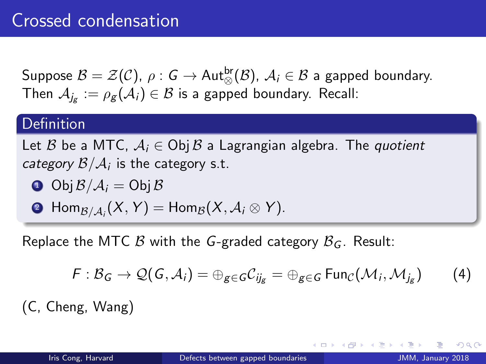Suppose  ${\mathcal B}={\mathcal Z}({\mathcal C}),\ \rho:{\mathsf G}\to{\sf Aut}^{\sf br}_{\otimes}({\mathcal B}),\ {\mathcal A}_i\in {\mathcal B}$  a gapped boundary. Then  $\mathcal{A}_{j_{\mathcal{B}}}:=\rho_{\mathcal{B}}(\mathcal{A}_{i})\in\mathcal{B}$  is a gapped boundary. Recall:

#### **Definition**

Let B be a MTC,  $A_i \in \text{Obj } B$  a Lagrangian algebra. The quotient *category*  $\mathcal{B}/\mathcal{A}_i$  *is the category s.t.* 

$$
\bullet \ \text{Obj}\, \mathcal{B}/\mathcal{A}_i = \text{Obj}\, \mathcal{B}
$$

$$
\bullet \; \mathrm{Hom}_{\mathcal{B}/\mathcal{A}_i}(X,Y)=\mathrm{Hom}_{\mathcal{B}}(X,\mathcal{A}_i\otimes Y).
$$

Replace the MTC  $\beta$  with the G-graded category  $\beta_G$ . Result:

$$
F: \mathcal{B}_G \to \mathcal{Q}(G, \mathcal{A}_i) = \bigoplus_{g \in G} C_{ij_g} = \bigoplus_{g \in G} \text{Fun}_{\mathcal{C}}(\mathcal{M}_i, \mathcal{M}_{j_g}) \tag{4}
$$

(C, Cheng, Wang)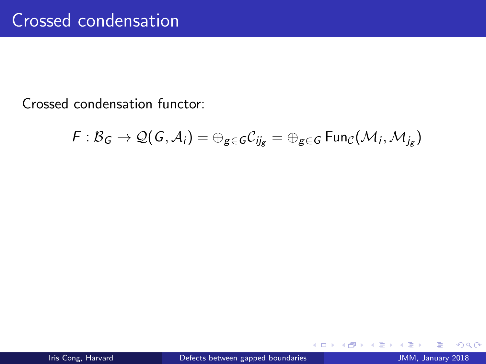Crossed condensation functor:

$$
\digamma: \mathcal{B}_G \to \mathcal{Q}(\mathit{G},\mathcal{A}_i) = \oplus_{g \in \mathit{G}} \mathcal{C}_{ij_g} = \oplus_{g \in \mathit{G}} \mathrm{Fun}_{\mathcal{C}}(\mathcal{M}_i,\mathcal{M}_{j_g})
$$

**← ロ ▶ → イ 同** 

×.

 $\rightarrow$ 

 $299$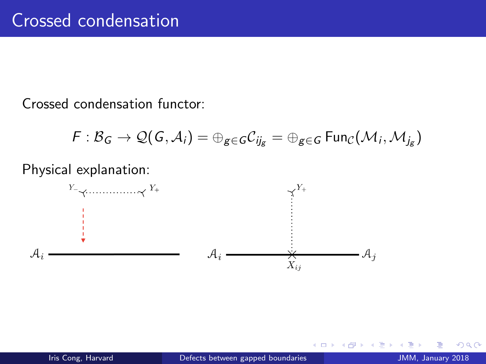Crossed condensation functor:

$$
F: \mathcal{B}_G \rightarrow \mathcal{Q}(G,\mathcal{A}_i) = \oplus_{g \in G} C_{ij_g} = \oplus_{g \in G} \mathrm{Fun}_{\mathcal{C}}(\mathcal{M}_i,\mathcal{M}_{j_g})
$$

Physical explanation:



4.0.3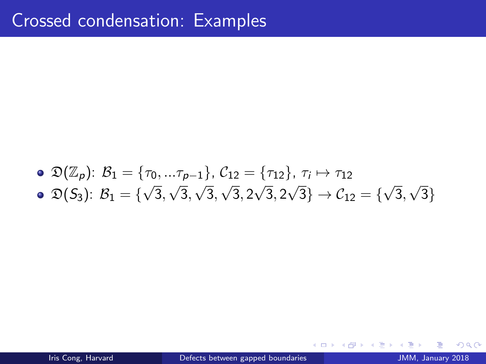\n- \n
$$
\mathfrak{D}(\mathbb{Z}_p)
$$
: \n  $\mathcal{B}_1 = \{\tau_0, \ldots \tau_{p-1}\}, \, \mathcal{C}_{12} = \{\tau_{12}\}, \, \tau_i \mapsto \tau_{12}$ \n
\n- \n $\mathfrak{D}(S_3)$ : \n  $\mathcal{B}_1 = \{\sqrt{3}, \sqrt{3}, \sqrt{3}, \sqrt{3}, 2\sqrt{3}, 2\sqrt{3}\} \rightarrow \mathcal{C}_{12} = \{\sqrt{3}, \sqrt{3}\}$ \n
\n

4 日下

→ 何 ▶  $\mathcal{A}$ э.  $\rightarrow$   $299$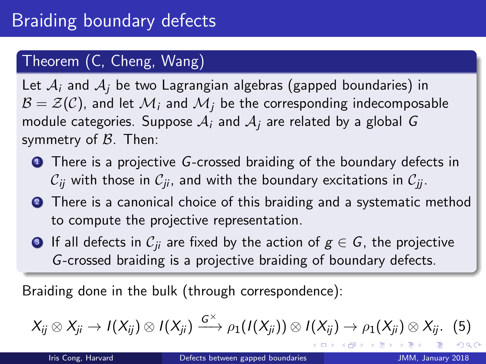## Theorem (C, Cheng, Wang)

Let  $A_i$  and  $A_i$  be two Lagrangian algebras (gapped boundaries) in  $\mathcal{B} = \mathcal{Z}(\mathcal{C})$ , and let  $\mathcal{M}_i$  and  $\mathcal{M}_i$  be the corresponding indecomposable module categories. Suppose  $A_i$  and  $A_i$  are related by a global G symmetry of  $\beta$ . Then:

- **1** There is a projective G-crossed braiding of the boundary defects in  $C_{ii}$  with those in  $C_{ii}$ , and with the boundary excitations in  $C_{ii}$ .
- **2** There is a canonical choice of this braiding and a systematic method to compute the projective representation.
- **3** If all defects in  $C_{ii}$  are fixed by the action of  $g \in G$ , the projective G-crossed braiding is a projective braiding of boundary defects.

Braiding done in the bulk (through correspondence):

$$
X_{ij}\otimes X_{ji}\to I(X_{ij})\otimes I(X_{ji})\xrightarrow{G^\times}\rho_1(I(X_{ji}))\otimes I(X_{ij})\to \rho_1(X_{ji})\otimes X_{ij}.\eqno(5)
$$

 $\Omega$ 

(ロ) (母) (目) (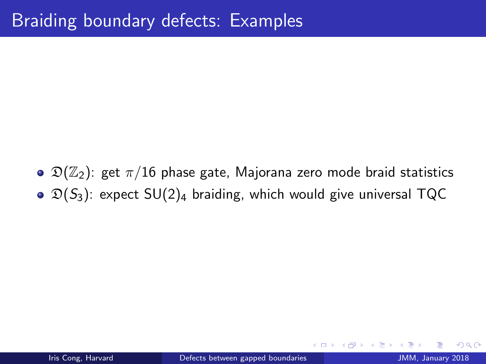$\bullet$   $\mathfrak{D}(\mathbb{Z}_2)$ : get  $\pi/16$  phase gate, Majorana zero mode braid statistics  $\odot$   $\mathfrak{D}(S_3)$ : expect SU(2)<sub>4</sub> braiding, which would give universal TQC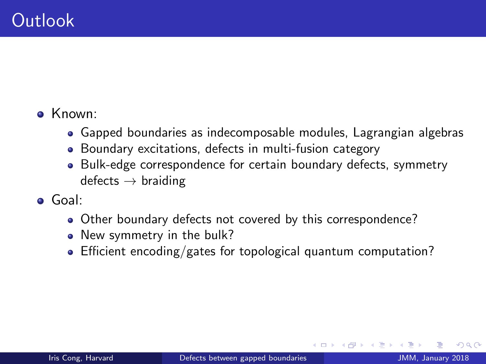## • Known:

- Gapped boundaries as indecomposable modules, Lagrangian algebras
- Boundary excitations, defects in multi-fusion category
- Bulk-edge correspondence for certain boundary defects, symmetry  $defects \rightarrow braiding$
- Goal:
	- Other boundary defects not covered by this correspondence?
	- New symmetry in the bulk?
	- Efficient encoding/gates for topological quantum computation?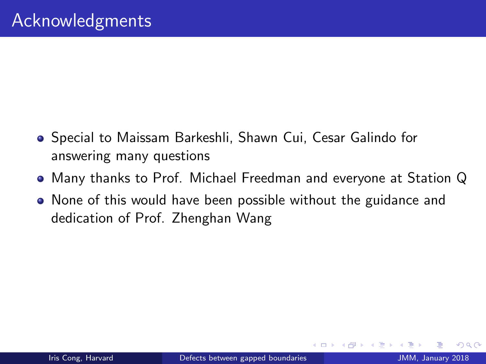- Special to Maissam Barkeshli, Shawn Cui, Cesar Galindo for answering many questions
- Many thanks to Prof. Michael Freedman and everyone at Station Q
- None of this would have been possible without the guidance and dedication of Prof. Zhenghan Wang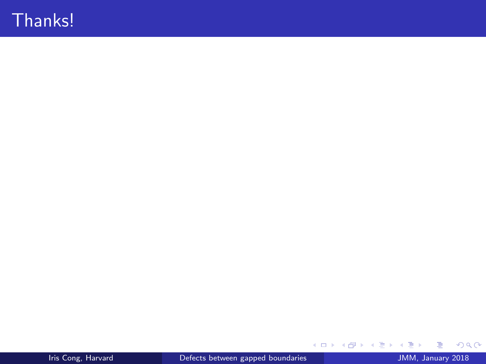# Thanks!

メロト メ都 トメ ヨ トメ ヨト

 $OQ$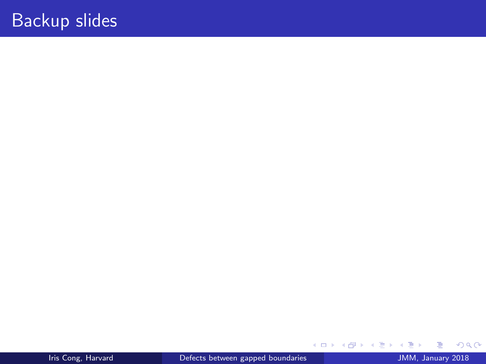э

重 J.  $299$ 

メロトス部 トメミトメ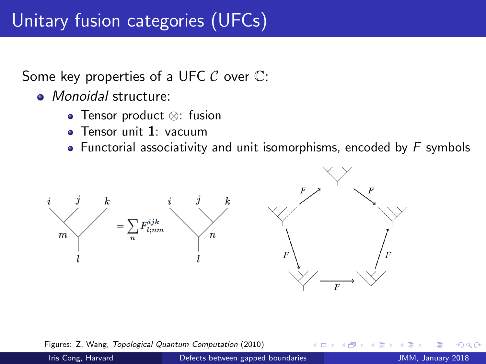Some key properties of a UFC  $\mathcal C$  over  $\mathbb C$ :

- *Monoidal* structure:
	- Tensor product ⊗: fusion
	- **•** Tensor unit 1: vacuum
	- Functorial associativity and unit isomorphisms, encoded by  $F$  symbols



Figures: Z. Wang, Topological Quantum Computation (2010)

Iris Cong, Harvard **Defects between gapped boundaries** Defects **JMM, January 2018**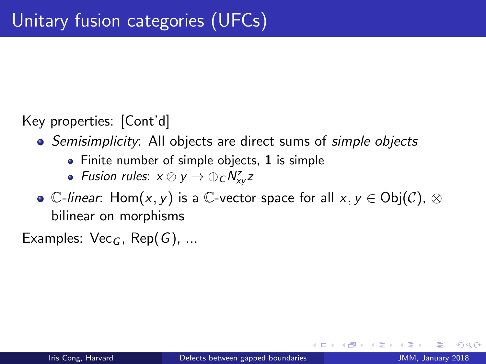Key properties: [Cont'd]

- Semisimplicity: All objects are direct sums of simple objects
	- Finite number of simple objects, 1 is simple
	- Fusion rules:  $x \otimes y \rightarrow \bigoplus_{\mathcal{C}} N_{xy}^z z$
- C-linear: Hom(x, y) is a C-vector space for all  $x, y \in Ob(C)$ . ⊗ bilinear on morphisms

Examples:  $Vec_G$ , Rep(G), ...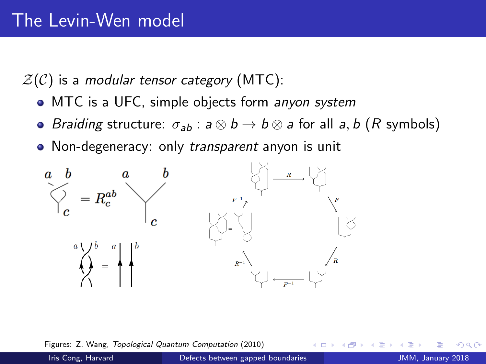$Z(\mathcal{C})$  is a modular tensor category (MTC):

- MTC is a UFC, simple objects form anyon system
- Braiding structure:  $\sigma_{ab}$ :  $a \otimes b \rightarrow b \otimes a$  for all  $a, b$  (R symbols)
- Non-degeneracy: only transparent anyon is unit



Figures: Z. Wang, Topological Quantum Computation (2010)

Iris Cong, Harvard **Defects between gapped boundaries** JMM, January 2018